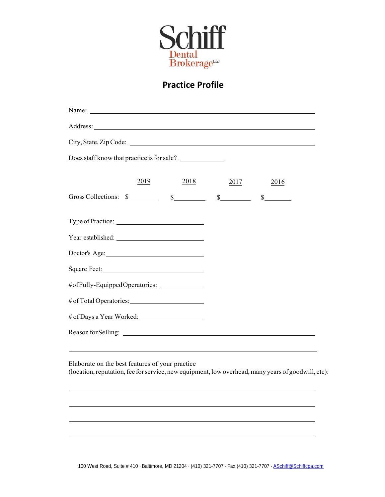

#### **Practice Profile**

| Address: <u>Address:</u> Address: Address: Address: Address: Address: Address: Address: Address: Address: Address: Address: Address: Address: Address: Address: Address: Address: Address: Address: Address: Address: Address: Addr |      |      |      |      |  |
|-------------------------------------------------------------------------------------------------------------------------------------------------------------------------------------------------------------------------------------|------|------|------|------|--|
| City, State, Zip Code:                                                                                                                                                                                                              |      |      |      |      |  |
| Does staff know that practice is for sale?                                                                                                                                                                                          |      |      |      |      |  |
|                                                                                                                                                                                                                                     | 2019 | 2018 | 2017 | 2016 |  |
| Gross Collections: $\frac{s}{s}$ $\frac{s}{s}$ $\frac{s}{s}$ $\frac{s}{s}$                                                                                                                                                          |      |      |      |      |  |
|                                                                                                                                                                                                                                     |      |      |      |      |  |
|                                                                                                                                                                                                                                     |      |      |      |      |  |
| Doctor's Age:                                                                                                                                                                                                                       |      |      |      |      |  |
|                                                                                                                                                                                                                                     |      |      |      |      |  |
| #ofFully-EquippedOperatories: _____________                                                                                                                                                                                         |      |      |      |      |  |
|                                                                                                                                                                                                                                     |      |      |      |      |  |
| # of Days a Year Worked:                                                                                                                                                                                                            |      |      |      |      |  |
|                                                                                                                                                                                                                                     |      |      |      |      |  |
|                                                                                                                                                                                                                                     |      |      |      |      |  |
| Elaborate on the best features of your practice<br>(location, reputation, fee for service, new equipment, low overhead, many years of goodwill, etc):                                                                               |      |      |      |      |  |
|                                                                                                                                                                                                                                     |      |      |      |      |  |
|                                                                                                                                                                                                                                     |      |      |      |      |  |
|                                                                                                                                                                                                                                     |      |      |      |      |  |

100 West Road, Suite # 410 · Baltimore, MD 21204 · (410) 321-7707 · Fax (410) 321-7707 · [ASchiff@Schiffcpa.com](mailto:ASchiff@Schiffcpa.com)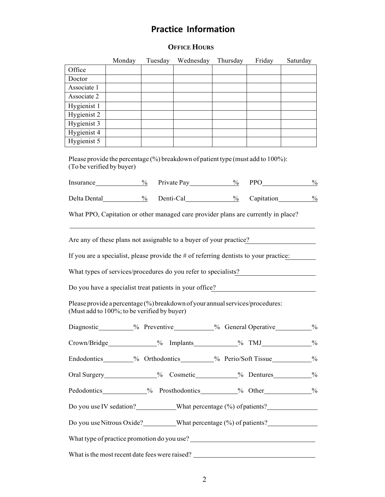### **Practice Information**

#### **OFFICE HOURS**

|                                                                        | Monday | Tuesday | Wednesday                                                                               | Thursday | Friday | Saturday      |
|------------------------------------------------------------------------|--------|---------|-----------------------------------------------------------------------------------------|----------|--------|---------------|
| Office                                                                 |        |         |                                                                                         |          |        |               |
| Doctor                                                                 |        |         |                                                                                         |          |        |               |
| Associate 1                                                            |        |         |                                                                                         |          |        |               |
| Associate 2                                                            |        |         |                                                                                         |          |        |               |
| Hygienist 1                                                            |        |         |                                                                                         |          |        |               |
| Hygienist 2                                                            |        |         |                                                                                         |          |        |               |
| Hygienist 3                                                            |        |         |                                                                                         |          |        |               |
| Hygienist 4                                                            |        |         |                                                                                         |          |        |               |
| Hygienist 5                                                            |        |         |                                                                                         |          |        |               |
| (To be verified by buyer)                                              |        |         | Please provide the percentage (%) breakdown of patient type (must add to 100%):         |          |        |               |
| Insurance $\frac{9}{6}$                                                |        |         | Private Pay $\frac{9}{6}$                                                               |          | PPO___ | $\frac{0}{0}$ |
|                                                                        |        |         | Delta Dental 2008 Menti-Cal 2008 Capitation                                             |          |        | $\frac{0}{0}$ |
|                                                                        |        |         |                                                                                         |          |        |               |
|                                                                        |        |         | What PPO, Capitation or other managed care provider plans are currently in place?       |          |        |               |
|                                                                        |        |         |                                                                                         |          |        |               |
|                                                                        |        |         | Are any of these plans not assignable to a buyer of your practice?                      |          |        |               |
|                                                                        |        |         | If you are a specialist, please provide the $#$ of referring dentists to your practice: |          |        |               |
|                                                                        |        |         | What types of services/procedures do you refer to specialists?                          |          |        |               |
|                                                                        |        |         | Do you have a specialist treat patients in your office?                                 |          |        |               |
| (Must add to 100%; to be verified by buyer)                            |        |         | Please provide a percentage (%) breakdown of your annual services/procedures:           |          |        |               |
|                                                                        |        |         | Diagnostic__________% Preventive__________% General Operative_________%                 |          |        |               |
|                                                                        |        |         | Crown/Bridge 9% Implants 9% TMJ 9%                                                      |          |        |               |
| Endodontics________% Orthodontics________% Perio/Soft Tissue_________% |        |         |                                                                                         |          |        |               |
|                                                                        |        |         | Oral Surgery_____________% Cosmetic__________% Dentures_________%                       |          |        |               |
| Pedodontics____________%Prosthodontics_________%Other____________%     |        |         |                                                                                         |          |        |               |
| Do you use IV sedation? What percentage (%) of patients?               |        |         |                                                                                         |          |        |               |
|                                                                        |        |         | Do you use Nitrous Oxide? _________What percentage (%) of patients? ____________        |          |        |               |
|                                                                        |        |         |                                                                                         |          |        |               |
|                                                                        |        |         |                                                                                         |          |        |               |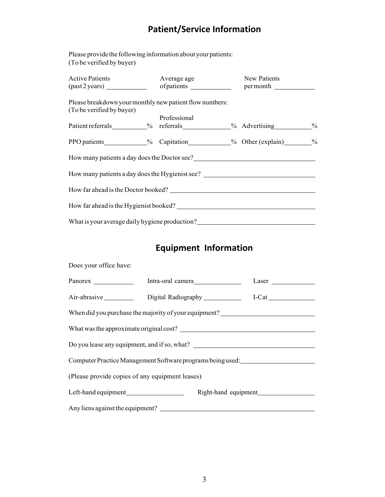# **Patient/Service Information**

Please provide the following information about your patients: (To be verified by buyer)

| <b>Active Patients</b>                                                               | (past 2 years) of patients example of patients example of permonth |              | Average age | New Patients |  |
|--------------------------------------------------------------------------------------|--------------------------------------------------------------------|--------------|-------------|--------------|--|
| Please breakdown your monthly new patient flow numbers:<br>(To be verified by buyer) |                                                                    |              |             |              |  |
|                                                                                      |                                                                    | Professional |             |              |  |
| Patient referrals 1% referrals 2% Advertising 2%                                     |                                                                    |              |             |              |  |
| PPO patients ____________% Capitation __________% Other (explain) ________%          |                                                                    |              |             |              |  |
| How many patients a day does the Doctor see?                                         |                                                                    |              |             |              |  |
| How many patients a day does the Hygienist see? _________________________________    |                                                                    |              |             |              |  |
| How far ahead is the Doctor booked?                                                  |                                                                    |              |             |              |  |
| How far ahead is the Hygienist booked?                                               |                                                                    |              |             |              |  |
| What is your average daily hygiene production?                                       |                                                                    |              |             |              |  |

# **Equipment Information**

| Does your office have:                                                           |                                        |  |       |  |  |
|----------------------------------------------------------------------------------|----------------------------------------|--|-------|--|--|
|                                                                                  |                                        |  | Laser |  |  |
|                                                                                  | Air-abrasive Digital Radiography I-Cat |  |       |  |  |
| When did you purchase the majority of your equipment?___________________________ |                                        |  |       |  |  |
| What was the approximate original cost?                                          |                                        |  |       |  |  |
|                                                                                  |                                        |  |       |  |  |
| Computer Practice Management Software programs being used:                       |                                        |  |       |  |  |
| (Please provide copies of any equipment leases)                                  |                                        |  |       |  |  |
|                                                                                  |                                        |  |       |  |  |
|                                                                                  |                                        |  |       |  |  |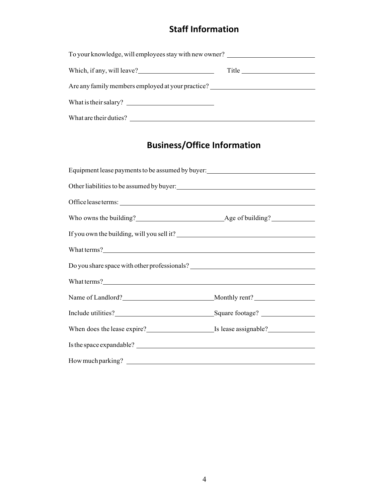### **Staff Information**

| To your knowledge, will employees stay with new owner? |  |  |  |  |  |
|--------------------------------------------------------|--|--|--|--|--|
| Which, if any, will leave?                             |  |  |  |  |  |
| Are any family members employed at your practice?      |  |  |  |  |  |
| What is their salary?                                  |  |  |  |  |  |
| What are their duties?                                 |  |  |  |  |  |

# **Business/Office Information**

| Equipment lease payments to be assumed by buyer:<br><u>Equipment lease payments to be assumed by buyer:</u> |  |
|-------------------------------------------------------------------------------------------------------------|--|
|                                                                                                             |  |
| Office lease terms:                                                                                         |  |
|                                                                                                             |  |
| If you own the building, will you sell it?                                                                  |  |
| What terms?                                                                                                 |  |
|                                                                                                             |  |
| What terms?                                                                                                 |  |
| Name of Landlord?<br>Monthly rent?                                                                          |  |
| Include utilities?<br><u>Square footage?</u>                                                                |  |
| When does the lease expire?<br>Is lease assignable?<br>Is lease assignable?                                 |  |
| Is the space expandable?                                                                                    |  |
|                                                                                                             |  |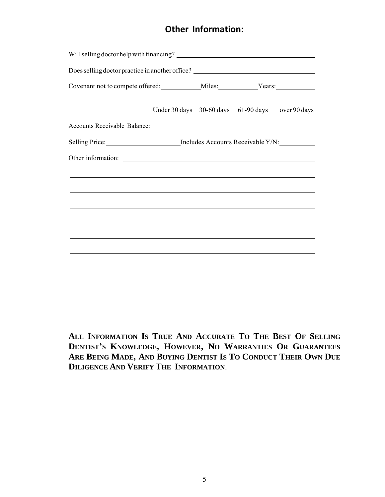#### **Other Information:**

|                                                                                                                       | Under 30 days 30-60 days 61-90 days over 90 days |  |  |
|-----------------------------------------------------------------------------------------------------------------------|--------------------------------------------------|--|--|
|                                                                                                                       |                                                  |  |  |
| Selling Price: Includes Accounts Receivable Y/N:                                                                      |                                                  |  |  |
|                                                                                                                       |                                                  |  |  |
| ,我们也不会有什么。""我们的人,我们也不会有什么?""我们的人,我们也不会有什么?""我们的人,我们也不会有什么?""我们的人,我们也不会有什么?""我们的人                                      |                                                  |  |  |
| ,我们也不能会在这里,我们也不能会在这里,我们也不能会在这里,我们也不能会在这里,我们也不能会在这里,我们也不能会在这里,我们也不能会在这里,我们也不能会在这里                                      |                                                  |  |  |
| <u> 1989 - Johann Stoff, amerikansk politiker (d. 1989)</u>                                                           |                                                  |  |  |
| ,我们也不会有什么。""我们的人,我们也不会有什么?""我们的人,我们也不会有什么?""我们的人,我们也不会有什么?""我们的人,我们也不会有什么?""我们的人                                      |                                                  |  |  |
| <u> 1989 - Johann Stoff, die staatskriuw fan de Amerikaanse kommunister op de Amerikaanse kommunister op de Ameri</u> |                                                  |  |  |
|                                                                                                                       |                                                  |  |  |
|                                                                                                                       |                                                  |  |  |
|                                                                                                                       |                                                  |  |  |

**ALL INFORMATION IS TRUE AND ACCURATE TO THE BEST OF SELLING DENTIST'S KNOWLEDGE, HOWEVER, NO WARRANTIES OR GUARANTEES** ARE BEING MADE, AND BUYING DENTIST IS TO CONDUCT THEIR OWN DUE **DILIGENCE AND VERIFY THE INFORMATION**.